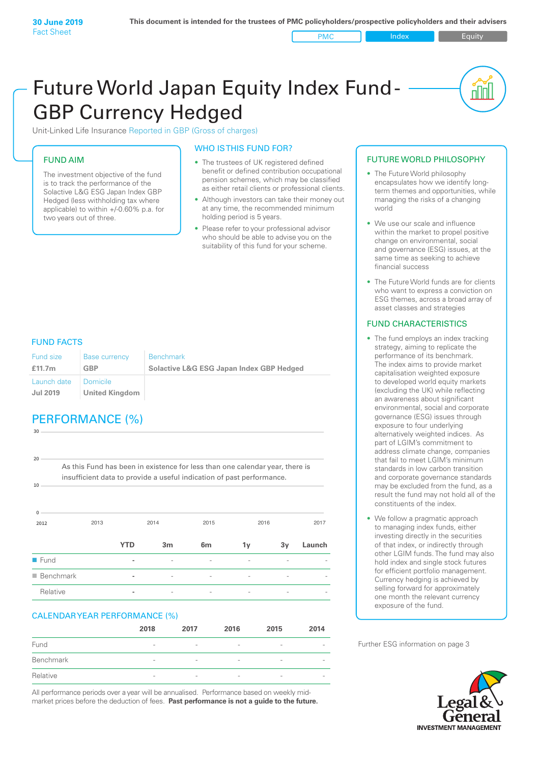**PMC** Index **Index** Equity

nN

# Future World Japan Equity Index Fund - GBP Currency Hedged

Unit-Linked Life Insurance Reported in GBP (Gross of charges)

#### FUND AIM

The investment objective of the fund is to track the performance of the Solactive L&G ESG Japan Index GBP Hedged (less withholding tax where applicable) to within +/-0.60% p.a. for two years out of three.

#### WHO IS THIS FUND FOR?

- The trustees of UK registered defined benefit or defined contribution occupational pension schemes, which may be classified as either retail clients or professional clients.
- Although investors can take their money out at any time, the recommended minimum holding period is 5 years.
- Please refer to your professional advisor who should be able to advise you on the suitability of this fund for your scheme.

#### FUND FACTS

**30**

| Fund size                      | <b>Base currency</b>                     | <b>Benchmark</b>                                    |
|--------------------------------|------------------------------------------|-----------------------------------------------------|
| £11.7m                         | <b>GBP</b>                               | <b>Solactive L&amp;G ESG Japan Index GBP Hedged</b> |
| Launch date<br><b>Jul 2019</b> | <b>Domicile</b><br><b>United Kingdom</b> |                                                     |

# PERFORMANCE (%)

**2012** 2013 2014 2015 2016 2017 **0 10 20** As this Fund has been in existence for less than one calendar year, there is insufficient data to provide a useful indication of past performance. **YTD 3m 6m 1y 3y Launch** n Fund **-** - - - - n Benchmark **-** - - - - - Relative **-** - - - - -

#### CALENDAR YEAR PERFORMANCE (%)

|           | 2018                     | 2017                     | 2016                     | 2015                         | 2014                     |
|-----------|--------------------------|--------------------------|--------------------------|------------------------------|--------------------------|
| Fund      | $\overline{\phantom{a}}$ | $\overline{\phantom{a}}$ | $\overline{\phantom{a}}$ | $\overline{\phantom{a}}$     | $\overline{\phantom{a}}$ |
| Benchmark | $\overline{\phantom{a}}$ | $\overline{\phantom{a}}$ | $\overline{\phantom{a}}$ | $\overline{\phantom{a}}$     | $\qquad \qquad$          |
| Relative  | $\overline{\phantom{a}}$ | $\overline{\phantom{a}}$ | $\overline{\phantom{a}}$ | $\qquad \qquad \blacksquare$ | $\overline{\phantom{a}}$ |

All performance periods over a year will be annualised. Performance based on weekly midmarket prices before the deduction of fees. **Past performance is not a guide to the future.**

#### FUTURE WORLD PHILOSOPHY

- The Future World philosophy encapsulates how we identify longterm themes and opportunities, while managing the risks of a changing world
- We use our scale and influence within the market to propel positive change on environmental, social and governance (ESG) issues, at the same time as seeking to achieve financial success
- The Future World funds are for clients who want to express a conviction on ESG themes, across a broad array of asset classes and strategies

#### FUND CHARACTERISTICS

- The fund employs an index tracking strategy, aiming to replicate the performance of its benchmark. The index aims to provide market capitalisation weighted exposure to developed world equity markets (excluding the UK) while reflecting an awareness about significant environmental, social and corporate governance (ESG) issues through exposure to four underlying alternatively weighted indices. As part of LGIM's commitment to address climate change, companies that fail to meet LGIM's minimum standards in low carbon transition and corporate governance standards may be excluded from the fund, as a result the fund may not hold all of the constituents of the index.
- We follow a pragmatic approach to managing index funds, either investing directly in the securities of that index, or indirectly through other LGIM funds. The fund may also hold index and single stock futures for efficient portfolio management. Currency hedging is achieved by selling forward for approximately one month the relevant currency exposure of the fund.

Further ESG information on page 3

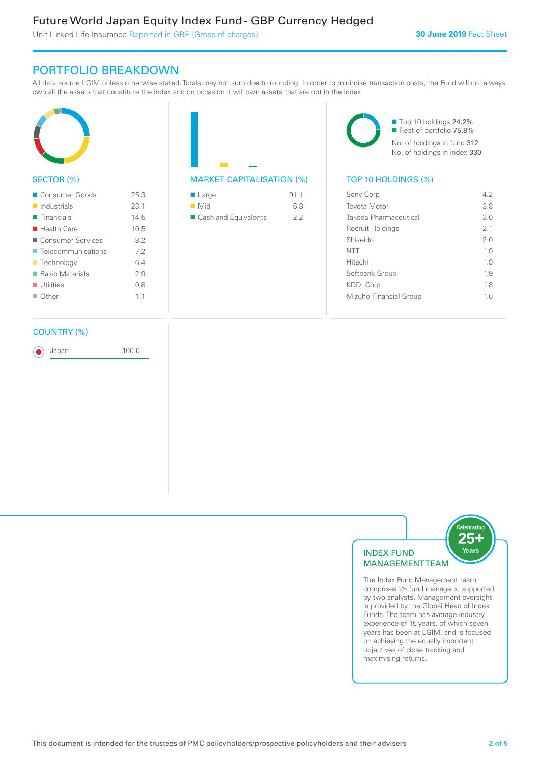# Future World Japan Equity Index Fund - GBP Currency Hedged

Unit-Linked Life Insurance Reported in GBP (Gross of charges)

## PORTFOLIO BREAKDOWN

All data source LGIM unless otherwise stated. Totals may not sum due to rounding. In order to minimise transaction costs, the Fund will not always own all the assets that constitute the index and on occasion it will own assets that are not in the index.



#### SECTOR (%)

| ■ Consumer Goods           | 25.3 |
|----------------------------|------|
| $\blacksquare$ Industrials | 23.1 |
| $\blacksquare$ Financials  | 145  |
| $\blacksquare$ Health Care | 10.5 |
| Consumer Services          | 82   |
| ■ Telecommunications       | 72   |
| ■ Technology               | 64   |
| ■ Basic Materials          | 29   |
| $\blacksquare$ Utilities   | 08   |
| $\Box$ Other               | 11   |
|                            |      |

| $\blacksquare$ Large | 911 |
|----------------------|-----|
| $\blacksquare$ Mid   | 68  |
| Cash and Equivalents | 22  |

■ Top 10 holdings 24.2% Rest of portfolio 75.8% No. of holdings in fund 312 No. of holdings in index 330

#### MARKET CAPITALISATION (%) TOP 10 HOLDINGS (%)

| Sony Corp              | 42  |
|------------------------|-----|
| <b>Toyota Motor</b>    | 3.8 |
| Takeda Pharmaceutical  | 3.0 |
| Recruit Holdings       | 2.1 |
| Shiseido               | 2.0 |
| <b>NTT</b>             | 19  |
| Hitachi                | 19  |
| Softbank Group         | 19  |
| <b>KDDI Corp</b>       | 18  |
| Mizuho Financial Group | 16  |
|                        |     |

#### COUNTRY (%)

Japan 100.0



The Index Fund Management team comprises 25 fund managers, supported by two analysts. Management oversight is provided by the Global Head of Index Funds. The team has average industry experience of 15 years, of which seven years has been at LGIM, and is focused on achieving the equally important objectives of close tracking and maximising returns.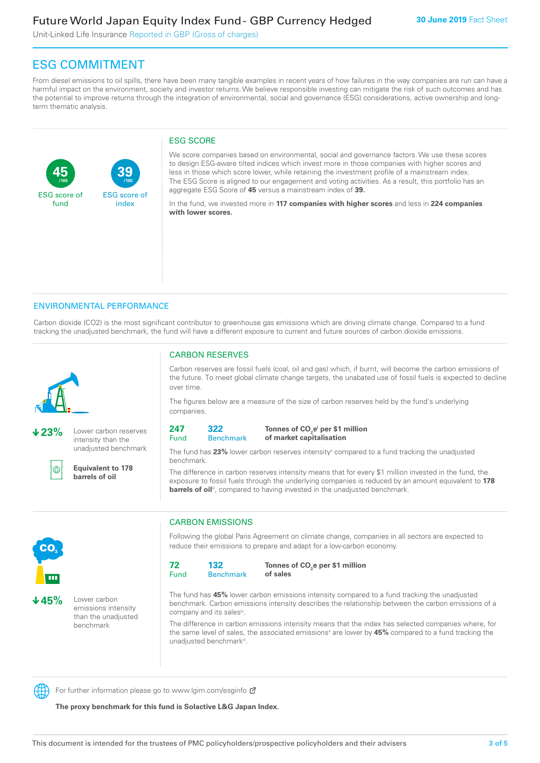Unit-Linked Life Insurance Reported in GBP (Gross of charges)

# ESG COMMITMENT

From diesel emissions to oil spills, there have been many tangible examples in recent years of how failures in the way companies are run can have a harmful impact on the environment, society and investor returns. We believe responsible investing can mitigate the risk of such outcomes and has the potential to improve returns through the integration of environmental, social and governance (ESG) considerations, active ownership and longterm thematic analysis.

#### ESG SCORE

**45** ESG score of fund **39** ESG score of index **/100 /100**

We score companies based on environmental, social and governance factors. We use these scores to design ESG-aware tilted indices which invest more in those companies with higher scores and less in those which score lower, while retaining the investment profile of a mainstream index. The ESG Score is aligned to our engagement and voting activities. As a result, this portfolio has an aggregate ESG Score of **45** versus a mainstream index of **39.**

In the fund, we invested more in **117 companies with higher scores** and less in **224 companies with lower scores.**

#### ENVIRONMENTAL PERFORMANCE

Carbon dioxide (CO2) is the most significant contributor to greenhouse gas emissions which are driving climate change. Compared to a fund tracking the unadjusted benchmark, the fund will have a different exposure to current and future sources of carbon dioxide emissions.



**23%** Lower carbon reserves intensity than the unadjusted benchmark



**Equivalent to 178 barrels of oil**

### CARBON RESERVES

Carbon reserves are fossil fuels (coal, oil and gas) which, if burnt, will become the carbon emissions of the future. To meet global climate change targets, the unabated use of fossil fuels is expected to decline over time.

The figures below are a measure of the size of carbon reserves held by the fund's underlying companies.

| 241       | マンン  |  |
|-----------|------|--|
| ∼<br>Fiin | 3enr |  |

#### **Benchmark** Tonnes of CO<sub>2</sub>e<sup>i</sup> per \$1 million **of market capitalisation**

The fund has 23% lower carbon reserves intensity<sup>ii</sup> compared to a fund tracking the unadjusted benchmark.

The difference in carbon reserves intensity means that for every \$1 million invested in the fund, the exposure to fossil fuels through the underlying companies is reduced by an amount equivalent to **178**  barrels of oil<sup>iii</sup>, compared to having invested in the unadjusted benchmark.



**45%** Lower carbon emissions intensity than the unadjusted benchmark

### CARBON EMISSIONS

Following the global Paris Agreement on climate change, companies in all sectors are expected to reduce their emissions to prepare and adapt for a low-carbon economy.

| 72   | 132              |
|------|------------------|
| Fund | <b>Benchmark</b> |

Tonnes of CO<sub>2</sub>e per \$1 million **of sales**

The fund has **45%** lower carbon emissions intensity compared to a fund tracking the unadjusted benchmark. Carbon emissions intensity describes the relationship between the carbon emissions of a company and its salesiv.

The difference in carbon emissions intensity means that the index has selected companies where, for the same level of sales, the associated emissions<sup>v</sup> are lower by **45%** compared to a fund tracking the unadjusted benchmark<sup>vi</sup>.



For further information please go to www.lgim.com/esginfo Ø

**The proxy benchmark for this fund is Solactive L&G Japan Index.**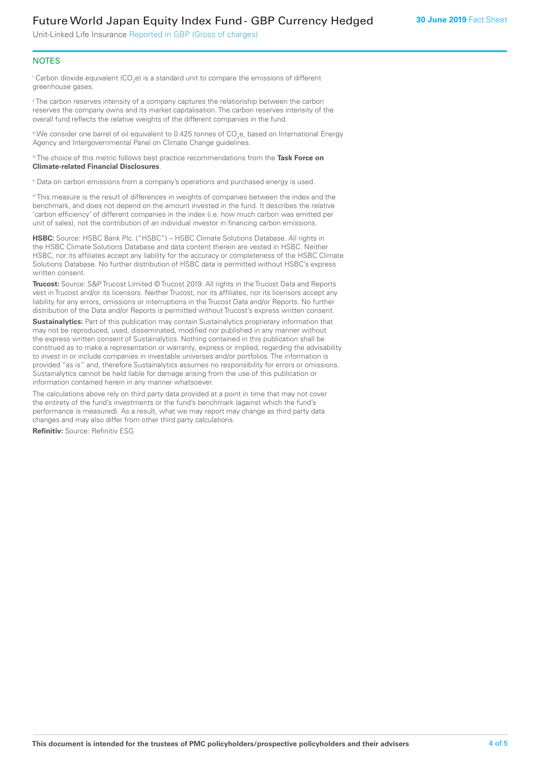## Future World Japan Equity Index Fund - GBP Currency Hedged

Unit-Linked Life Insurance Reported in GBP (Gross of charges)

#### **NOTES**

 $^\mathrm{i}$  Carbon dioxide equivalent (CO<sub>2</sub>e) is a standard unit to compare the emissions of different greenhouse gases.

<sup>ii</sup> The carbon reserves intensity of a company captures the relationship between the carbon reserves the company owns and its market capitalisation. The carbon reserves intensity of the overall fund reflects the relative weights of the different companies in the fund.

iii We consider one barrel of oil equivalent to 0.425 tonnes of CO<sub>2</sub>e, based on International Energy Agency and Intergovernmental Panel on Climate Change guidelines.

#### iv The choice of this metric follows best practice recommendations from the **Task Force on Climate-related Financial Disclosures**.

v Data on carbon emissions from a company's operations and purchased energy is used.

vi This measure is the result of differences in weights of companies between the index and the benchmark, and does not depend on the amount invested in the fund. It describes the relative 'carbon efficiency' of different companies in the index (i.e. how much carbon was emitted per unit of sales), not the contribution of an individual investor in financing carbon emissions.

**HSBC:** Source: HSBC Bank Plc. ("HSBC") – HSBC Climate Solutions Database. All rights in the HSBC Climate Solutions Database and data content therein are vested in HSBC. Neither HSBC, nor its affiliates accept any liability for the accuracy or completeness of the HSBC Climate Solutions Database. No further distribution of HSBC data is permitted without HSBC's express written consent.

**Trucost:** Source: S&P Trucost Limited © Trucost 2019. All rights in the Trucost Data and Reports vest in Trucost and/or its licensors. Neither Trucost, nor its affiliates, nor its licensors accept any liability for any errors, omissions or interruptions in the Trucost Data and/or Reports. No further distribution of the Data and/or Reports is permitted without Trucost's express written consent.

**Sustainalytics:** Part of this publication may contain Sustainalytics proprietary information that may not be reproduced, used, disseminated, modified nor published in any manner without the express written consent of Sustainalytics. Nothing contained in this publication shall be construed as to make a representation or warranty, express or implied, regarding the advisability to invest in or include companies in investable universes and/or portfolios. The information is provided "as is" and, therefore Sustainalytics assumes no responsibility for errors or omissions. Sustainalytics cannot be held liable for damage arising from the use of this publication or information contained herein in any manner whatsoever.

The calculations above rely on third party data provided at a point in time that may not cover the entirety of the fund's investments or the fund's benchmark (against which the fund's performance is measured). As a result, what we may report may change as third party data changes and may also differ from other third party calculations.

**Refinitiv:** Source: Refinitiv ESG